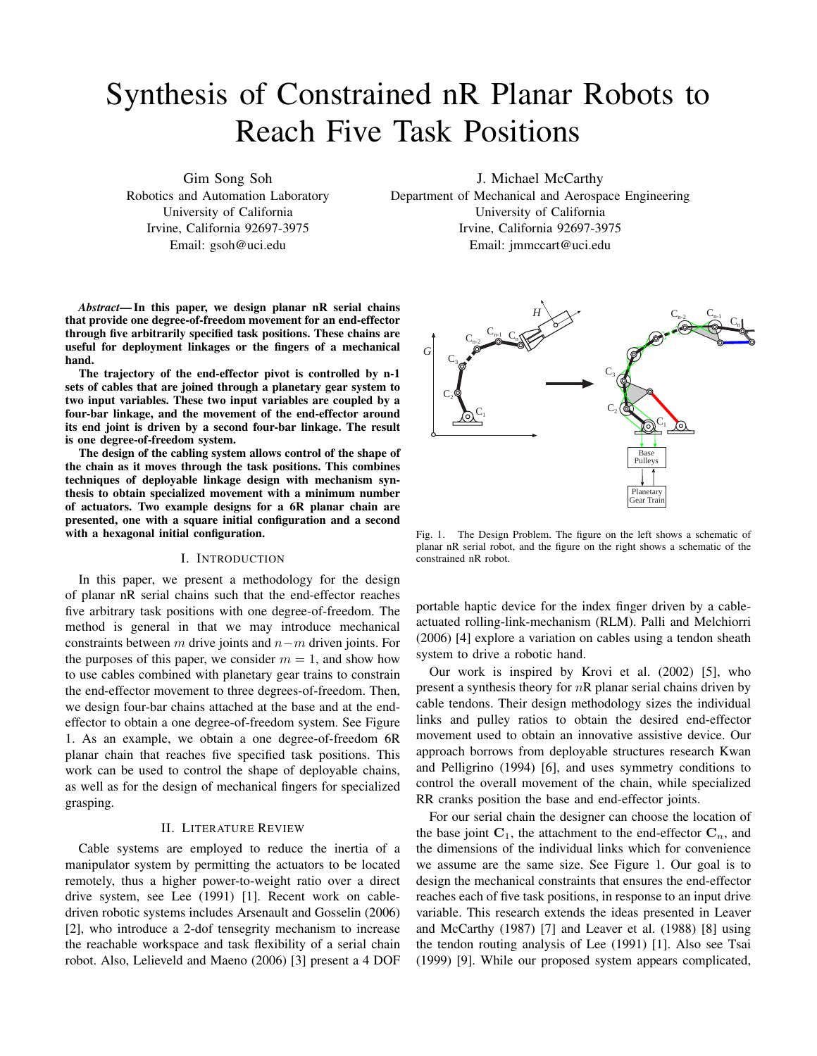# Synthesis of Constrained nR Planar Robots to Reach Five Task Positions

Gim Song Soh Robotics and Automation Laboratory University of California Irvine, California 92697-3975 Email: gsoh@uci.edu

J. Michael McCarthy

Department of Mechanical and Aerospace Engineering University of California Irvine, California 92697-3975 Email: jmmccart@uci.edu

*Abstract*— In this paper, we design planar nR serial chains that provide one degree-of-freedom movement for an end-effector through five arbitrarily specified task positions. These chains are useful for deployment linkages or the fingers of a mechanical hand.

The trajectory of the end-effector pivot is controlled by n-1 sets of cables that are joined through a planetary gear system to two input variables. These two input variables are coupled by a four-bar linkage, and the movement of the end-effector around its end joint is driven by a second four-bar linkage. The result is one degree-of-freedom system.

The design of the cabling system allows control of the shape of the chain as it moves through the task positions. This combines techniques of deployable linkage design with mechanism synthesis to obtain specialized movement with a minimum number of actuators. Two example designs for a 6R planar chain are presented, one with a square initial configuration and a second with a hexagonal initial configuration.

#### I. INTRODUCTION

In this paper, we present a methodology for the design of planar nR serial chains such that the end-effector reaches five arbitrary task positions with one degree-of-freedom. The method is general in that we may introduce mechanical constraints between m drive joints and  $n-m$  driven joints. For the purposes of this paper, we consider  $m = 1$ , and show how to use cables combined with planetary gear trains to constrain the end-effector movement to three degrees-of-freedom. Then, we design four-bar chains attached at the base and at the endeffector to obtain a one degree-of-freedom system. See Figure 1. As an example, we obtain a one degree-of-freedom 6R planar chain that reaches five specified task positions. This work can be used to control the shape of deployable chains, as well as for the design of mechanical fingers for specialized grasping.

## II. LITERATURE REVIEW

Cable systems are employed to reduce the inertia of a manipulator system by permitting the actuators to be located remotely, thus a higher power-to-weight ratio over a direct drive system, see Lee (1991) [1]. Recent work on cabledriven robotic systems includes Arsenault and Gosselin (2006) [2], who introduce a 2-dof tensegrity mechanism to increase the reachable workspace and task flexibility of a serial chain robot. Also, Lelieveld and Maeno (2006) [3] present a 4 DOF



Fig. 1. The Design Problem. The figure on the left shows a schematic of planar nR serial robot, and the figure on the right shows a schematic of the constrained nR robot.

portable haptic device for the index finger driven by a cableactuated rolling-link-mechanism (RLM). Palli and Melchiorri (2006) [4] explore a variation on cables using a tendon sheath system to drive a robotic hand.

Our work is inspired by Krovi et al. (2002) [5], who present a synthesis theory for  $nR$  planar serial chains driven by cable tendons. Their design methodology sizes the individual links and pulley ratios to obtain the desired end-effector movement used to obtain an innovative assistive device. Our approach borrows from deployable structures research Kwan and Pelligrino (1994) [6], and uses symmetry conditions to control the overall movement of the chain, while specialized RR cranks position the base and end-effector joints.

For our serial chain the designer can choose the location of the base joint  $C_1$ , the attachment to the end-effector  $C_n$ , and the dimensions of the individual links which for convenience we assume are the same size. See Figure 1. Our goal is to design the mechanical constraints that ensures the end-effector reaches each of five task positions, in response to an input drive variable. This research extends the ideas presented in Leaver and McCarthy (1987) [7] and Leaver et al. (1988) [8] using the tendon routing analysis of Lee (1991) [1]. Also see Tsai (1999) [9]. While our proposed system appears complicated,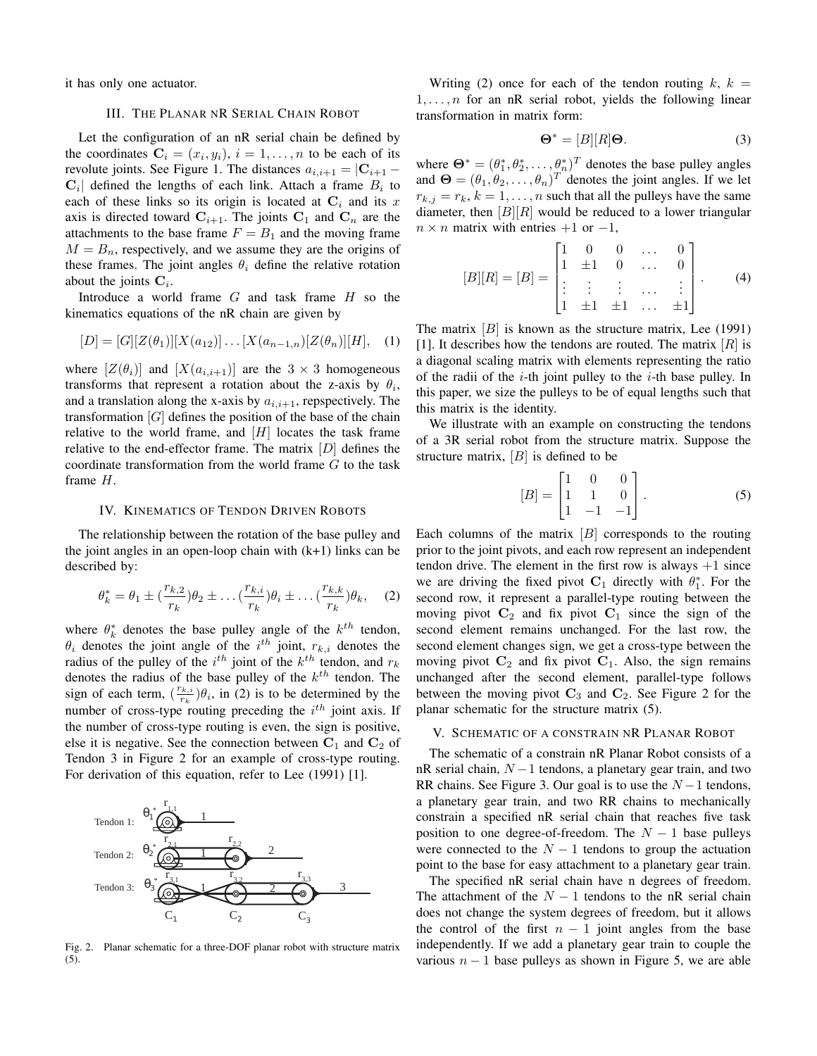it has only one actuator.

## III. THE PLANAR NR SERIAL CHAIN ROBOT

Let the configuration of an nR serial chain be defined by the coordinates  $\mathbf{C}_i = (x_i, y_i), i = 1, \dots, n$  to be each of its revolute joints. See Figure 1. The distances  $a_{i,i+1} = |\mathbf{C}_{i+1} - \mathbf{C}_{i+1}|$  $\mathbf{C}_i$  defined the lengths of each link. Attach a frame  $B_i$  to each of these links so its origin is located at  $C_i$  and its x axis is directed toward  $C_{i+1}$ . The joints  $C_1$  and  $C_n$  are the attachments to the base frame  $F = B<sub>1</sub>$  and the moving frame  $M = B_n$ , respectively, and we assume they are the origins of these frames. The joint angles  $\theta_i$  define the relative rotation about the joints  $C_i$ .

Introduce a world frame  $G$  and task frame  $H$  so the kinematics equations of the nR chain are given by

$$
[D] = [G][Z(\theta_1)][X(a_{12})] \dots [X(a_{n-1,n})[Z(\theta_n)][H], \quad (1)
$$

where  $[Z(\theta_i)]$  and  $[X(a_{i,i+1})]$  are the  $3 \times 3$  homogeneous transforms that represent a rotation about the z-axis by  $\theta_i$ , and a translation along the x-axis by  $a_{i,i+1}$ , repspectively. The transformation  $[G]$  defines the position of the base of the chain relative to the world frame, and  $[H]$  locates the task frame relative to the end-effector frame. The matrix  $[D]$  defines the coordinate transformation from the world frame G to the task frame H.

#### IV. KINEMATICS OF TENDON DRIVEN ROBOTS

The relationship between the rotation of the base pulley and the joint angles in an open-loop chain with  $(k+1)$  links can be described by:

$$
\theta_k^* = \theta_1 \pm \left(\frac{r_{k,2}}{r_k}\right)\theta_2 \pm \dots \left(\frac{r_{k,i}}{r_k}\right)\theta_i \pm \dots \left(\frac{r_{k,k}}{r_k}\right)\theta_k, \quad (2)
$$

where  $\theta_k^*$  denotes the base pulley angle of the  $k^{th}$  tendon,  $\theta_i$  denotes the joint angle of the  $i^{th}$  joint,  $r_{k,i}$  denotes the radius of the pulley of the  $i^{th}$  joint of the  $k^{th}$  tendon, and  $r_k$ denotes the radius of the base pulley of the  $k^{th}$  tendon. The sign of each term,  $\left(\frac{r_{k,i}}{r_{i}}\right)$  $\frac{\partial k_i}{\partial r_k}$ ) $\theta_i$ , in (2) is to be determined by the number of cross-type routing preceding the  $i^{th}$  joint axis. If the number of cross-type routing is even, the sign is positive, else it is negative. See the connection between  $C_1$  and  $C_2$  of Tendon 3 in Figure 2 for an example of cross-type routing. For derivation of this equation, refer to Lee (1991) [1].



Fig. 2. Planar schematic for a three-DOF planar robot with structure matrix (5).

Writing (2) once for each of the tendon routing  $k, k =$  $1, \ldots, n$  for an nR serial robot, yields the following linear transformation in matrix form:

$$
\mathbf{\Theta}^* = [B][R]\mathbf{\Theta}.
$$
 (3)

where  $\mathbf{\Theta}^* = (\theta_1^*, \theta_2^*, \dots, \theta_n^*)^T$  denotes the base pulley angles and  $\mathbf{\Theta} = (\theta_1, \theta_2, \dots, \theta_n)^T$  denotes the joint angles. If we let  $r_{k,j} = r_k, k = 1, \dots, n$  such that all the pulleys have the same diameter, then  $[B][R]$  would be reduced to a lower triangular  $n \times n$  matrix with entries  $+1$  or  $-1$ ,

$$
[B][R] = [B] = \begin{bmatrix} 1 & 0 & 0 & \dots & 0 \\ 1 & \pm 1 & 0 & \dots & 0 \\ \vdots & \vdots & \vdots & \dots & \vdots \\ 1 & \pm 1 & \pm 1 & \dots & \pm 1 \end{bmatrix}.
$$
 (4)

The matrix  $[B]$  is known as the structure matrix, Lee (1991) [1]. It describes how the tendons are routed. The matrix  $[R]$  is a diagonal scaling matrix with elements representing the ratio of the radii of the  $i$ -th joint pulley to the  $i$ -th base pulley. In this paper, we size the pulleys to be of equal lengths such that this matrix is the identity.

We illustrate with an example on constructing the tendons of a 3R serial robot from the structure matrix. Suppose the structure matrix,  $|B|$  is defined to be

$$
[B] = \begin{bmatrix} 1 & 0 & 0 \\ 1 & 1 & 0 \\ 1 & -1 & -1 \end{bmatrix} . \tag{5}
$$

Each columns of the matrix  $[B]$  corresponds to the routing prior to the joint pivots, and each row represent an independent tendon drive. The element in the first row is always  $+1$  since we are driving the fixed pivot  $C_1$  directly with  $\theta_1^*$ . For the second row, it represent a parallel-type routing between the moving pivot  $C_2$  and fix pivot  $C_1$  since the sign of the second element remains unchanged. For the last row, the second element changes sign, we get a cross-type between the moving pivot  $C_2$  and fix pivot  $C_1$ . Also, the sign remains unchanged after the second element, parallel-type follows between the moving pivot  $C_3$  and  $C_2$ . See Figure 2 for the planar schematic for the structure matrix (5).

#### V. SCHEMATIC OF A CONSTRAIN NR PLANAR ROBOT

The schematic of a constrain nR Planar Robot consists of a nR serial chain,  $N-1$  tendons, a planetary gear train, and two RR chains. See Figure 3. Our goal is to use the  $N-1$  tendons, a planetary gear train, and two RR chains to mechanically constrain a specified nR serial chain that reaches five task position to one degree-of-freedom. The  $N-1$  base pulleys were connected to the  $N - 1$  tendons to group the actuation point to the base for easy attachment to a planetary gear train.

The specified nR serial chain have n degrees of freedom. The attachment of the  $N-1$  tendons to the nR serial chain does not change the system degrees of freedom, but it allows the control of the first  $n - 1$  joint angles from the base independently. If we add a planetary gear train to couple the various  $n - 1$  base pulleys as shown in Figure 5, we are able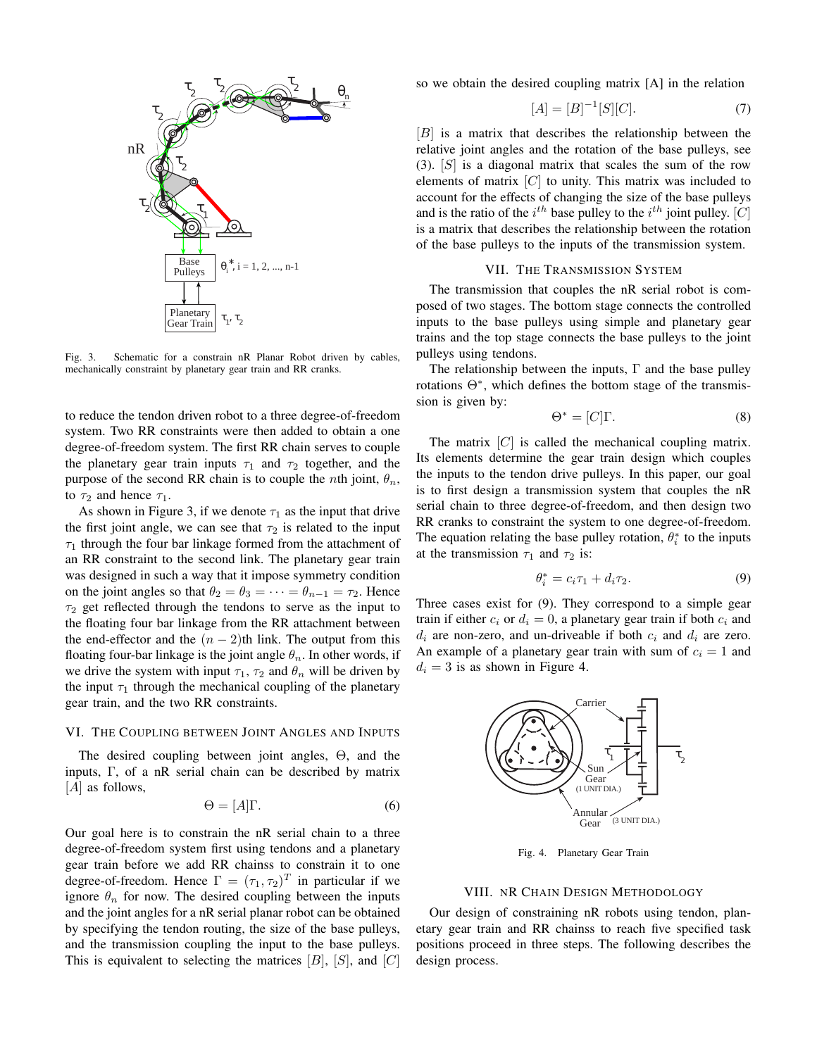

Fig. 3. Schematic for a constrain nR Planar Robot driven by cables, mechanically constraint by planetary gear train and RR cranks.

to reduce the tendon driven robot to a three degree-of-freedom system. Two RR constraints were then added to obtain a one degree-of-freedom system. The first RR chain serves to couple the planetary gear train inputs  $\tau_1$  and  $\tau_2$  together, and the purpose of the second RR chain is to couple the *n*th joint,  $\theta_n$ , to  $\tau_2$  and hence  $\tau_1$ .

As shown in Figure 3, if we denote  $\tau_1$  as the input that drive the first joint angle, we can see that  $\tau_2$  is related to the input  $\tau_1$  through the four bar linkage formed from the attachment of an RR constraint to the second link. The planetary gear train was designed in such a way that it impose symmetry condition on the joint angles so that  $\theta_2 = \theta_3 = \cdots = \theta_{n-1} = \tau_2$ . Hence  $\tau_2$  get reflected through the tendons to serve as the input to the floating four bar linkage from the RR attachment between the end-effector and the  $(n - 2)$ th link. The output from this floating four-bar linkage is the joint angle  $\theta_n$ . In other words, if we drive the system with input  $\tau_1$ ,  $\tau_2$  and  $\theta_n$  will be driven by the input  $\tau_1$  through the mechanical coupling of the planetary gear train, and the two RR constraints.

## VI. THE COUPLING BETWEEN JOINT ANGLES AND INPUTS

The desired coupling between joint angles, Θ, and the inputs, Γ, of a nR serial chain can be described by matrix [A] as follows,

$$
\Theta = [A]\Gamma. \tag{6}
$$

Our goal here is to constrain the nR serial chain to a three degree-of-freedom system first using tendons and a planetary gear train before we add RR chainss to constrain it to one degree-of-freedom. Hence  $\Gamma = (\tau_1, \tau_2)^T$  in particular if we ignore  $\theta_n$  for now. The desired coupling between the inputs and the joint angles for a nR serial planar robot can be obtained by specifying the tendon routing, the size of the base pulleys, and the transmission coupling the input to the base pulleys. This is equivalent to selecting the matrices  $[B]$ ,  $[S]$ , and  $[C]$  so we obtain the desired coupling matrix [A] in the relation

$$
[A] = [B]^{-1}[S][C]. \tag{7}
$$

 $[B]$  is a matrix that describes the relationship between the relative joint angles and the rotation of the base pulleys, see  $(3)$ .  $[S]$  is a diagonal matrix that scales the sum of the row elements of matrix  $[C]$  to unity. This matrix was included to account for the effects of changing the size of the base pulleys and is the ratio of the  $i^{th}$  base pulley to the  $i^{th}$  joint pulley. [C] is a matrix that describes the relationship between the rotation of the base pulleys to the inputs of the transmission system.

#### VII. THE TRANSMISSION SYSTEM

The transmission that couples the nR serial robot is composed of two stages. The bottom stage connects the controlled inputs to the base pulleys using simple and planetary gear trains and the top stage connects the base pulleys to the joint pulleys using tendons.

The relationship between the inputs,  $\Gamma$  and the base pulley rotations Θ<sup>∗</sup> , which defines the bottom stage of the transmission is given by:

$$
\Theta^* = [C]\Gamma. \tag{8}
$$

The matrix  $[C]$  is called the mechanical coupling matrix. Its elements determine the gear train design which couples the inputs to the tendon drive pulleys. In this paper, our goal is to first design a transmission system that couples the nR serial chain to three degree-of-freedom, and then design two RR cranks to constraint the system to one degree-of-freedom. The equation relating the base pulley rotation,  $\theta_i^*$  to the inputs at the transmission  $\tau_1$  and  $\tau_2$  is:

$$
\theta_i^* = c_i \tau_1 + d_i \tau_2. \tag{9}
$$

Three cases exist for (9). They correspond to a simple gear train if either  $c_i$  or  $d_i = 0$ , a planetary gear train if both  $c_i$  and  $d_i$  are non-zero, and un-driveable if both  $c_i$  and  $d_i$  are zero. An example of a planetary gear train with sum of  $c_i = 1$  and  $d_i = 3$  is as shown in Figure 4.



Fig. 4. Planetary Gear Train

#### VIII. NR CHAIN DESIGN METHODOLOGY

Our design of constraining nR robots using tendon, planetary gear train and RR chainss to reach five specified task positions proceed in three steps. The following describes the design process.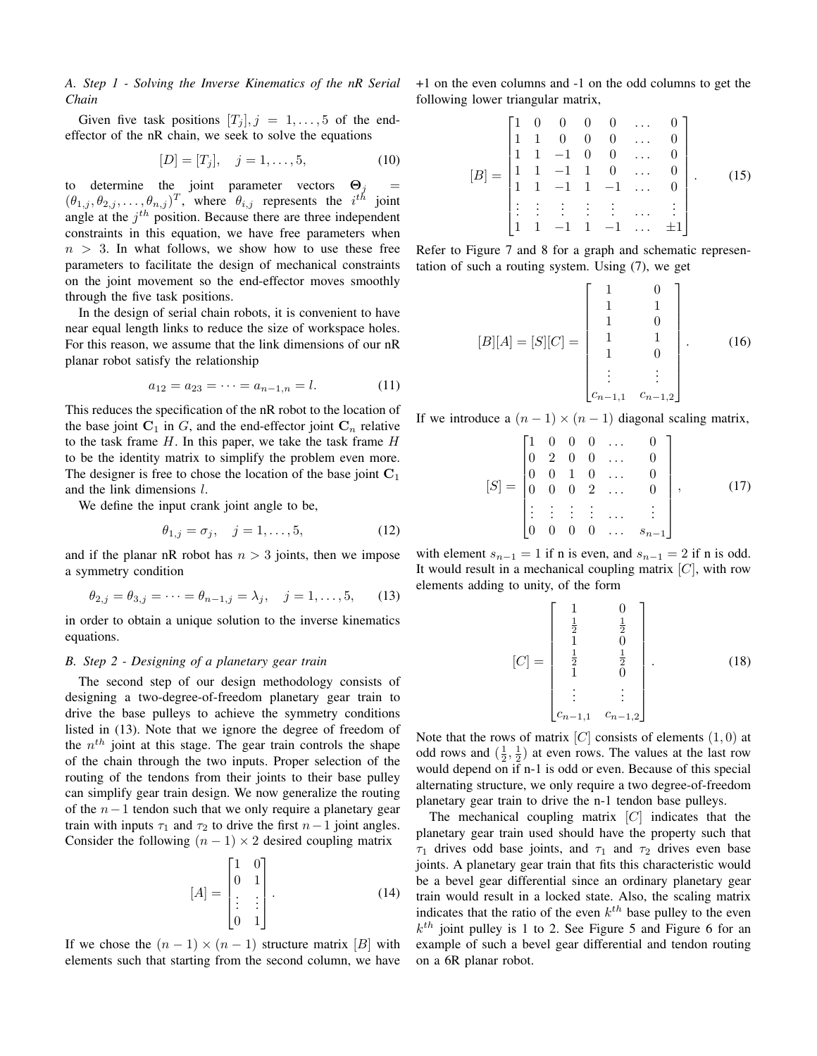*A. Step 1 - Solving the Inverse Kinematics of the nR Serial Chain*

Given five task positions  $[T_j]$ ,  $j = 1, \ldots, 5$  of the endeffector of the nR chain, we seek to solve the equations

$$
[D] = [T_j], \quad j = 1, \dots, 5,
$$
 (10)

to determine the joint parameter vectors  $\Theta_i$  $(\theta_{1,j}, \theta_{2,j}, \dots, \theta_{n,j})^T$ , where  $\theta_{i,j}$  represents the  $i^{th}$  joint angle at the  $j<sup>th</sup>$  position. Because there are three independent constraints in this equation, we have free parameters when  $n > 3$ . In what follows, we show how to use these free parameters to facilitate the design of mechanical constraints on the joint movement so the end-effector moves smoothly through the five task positions.

In the design of serial chain robots, it is convenient to have near equal length links to reduce the size of workspace holes. For this reason, we assume that the link dimensions of our nR planar robot satisfy the relationship

$$
a_{12} = a_{23} = \dots = a_{n-1,n} = l. \tag{11}
$$

This reduces the specification of the nR robot to the location of the base joint  $C_1$  in G, and the end-effector joint  $C_n$  relative to the task frame  $H$ . In this paper, we take the task frame  $H$ to be the identity matrix to simplify the problem even more. The designer is free to chose the location of the base joint  $C_1$ and the link dimensions l.

We define the input crank joint angle to be,

$$
\theta_{1,j} = \sigma_j, \quad j = 1, \dots, 5,
$$
 (12)

and if the planar nR robot has  $n > 3$  joints, then we impose a symmetry condition

$$
\theta_{2,j} = \theta_{3,j} = \dots = \theta_{n-1,j} = \lambda_j, \quad j = 1, \dots, 5,
$$
 (13)

in order to obtain a unique solution to the inverse kinematics equations.

### *B. Step 2 - Designing of a planetary gear train*

The second step of our design methodology consists of designing a two-degree-of-freedom planetary gear train to drive the base pulleys to achieve the symmetry conditions listed in (13). Note that we ignore the degree of freedom of the  $n^{th}$  joint at this stage. The gear train controls the shape of the chain through the two inputs. Proper selection of the routing of the tendons from their joints to their base pulley can simplify gear train design. We now generalize the routing of the  $n-1$  tendon such that we only require a planetary gear train with inputs  $\tau_1$  and  $\tau_2$  to drive the first  $n-1$  joint angles. Consider the following  $(n - 1) \times 2$  desired coupling matrix

$$
[A] = \begin{bmatrix} 1 & 0 \\ 0 & 1 \\ \vdots & \vdots \\ 0 & 1 \end{bmatrix} .
$$
 (14)

If we chose the  $(n - 1) \times (n - 1)$  structure matrix [B] with elements such that starting from the second column, we have +1 on the even columns and -1 on the odd columns to get the following lower triangular matrix,

$$
[B] = \begin{bmatrix} 1 & 0 & 0 & 0 & 0 & \dots & 0 \\ 1 & 1 & 0 & 0 & 0 & \dots & 0 \\ 1 & 1 & -1 & 0 & 0 & \dots & 0 \\ 1 & 1 & -1 & 1 & 0 & \dots & 0 \\ 1 & 1 & -1 & 1 & -1 & \dots & 0 \\ \vdots & \vdots & \vdots & \vdots & \vdots & \dots & \vdots \\ 1 & 1 & -1 & 1 & -1 & \dots & \pm 1 \end{bmatrix}.
$$
 (15)

Refer to Figure 7 and 8 for a graph and schematic representation of such a routing system. Using (7), we get

$$
[B][A] = [S][C] = \begin{bmatrix} 1 & 0 \\ 1 & 1 \\ 1 & 0 \\ 1 & 1 \\ 1 & 0 \\ \vdots & \vdots \\ c_{n-1,1} & c_{n-1,2} \end{bmatrix} .
$$
 (16)

If we introduce a  $(n - 1) \times (n - 1)$  diagonal scaling matrix,

$$
[S] = \begin{bmatrix} 1 & 0 & 0 & 0 & \dots & 0 \\ 0 & 2 & 0 & 0 & \dots & 0 \\ 0 & 0 & 1 & 0 & \dots & 0 \\ 0 & 0 & 0 & 2 & \dots & 0 \\ \vdots & \vdots & \vdots & \vdots & \dots & \vdots \\ 0 & 0 & 0 & 0 & \dots & s_{n-1} \end{bmatrix}, \quad (17)
$$

with element  $s_{n-1} = 1$  if n is even, and  $s_{n-1} = 2$  if n is odd. It would result in a mechanical coupling matrix  $[C]$ , with row elements adding to unity, of the form

$$
[C] = \begin{bmatrix} 1 & 0 \\ \frac{1}{2} & \frac{1}{2} \\ 1 & 0 \\ \frac{1}{2} & \frac{1}{2} \\ 1 & 0 \\ \vdots & \vdots \\ c_{n-1,1} & c_{n-1,2} \end{bmatrix} .
$$
 (18)

Note that the rows of matrix  $[C]$  consists of elements  $(1, 0)$  at odd rows and  $(\frac{1}{2}, \frac{1}{2})$  at even rows. The values at the last row would depend on if n-1 is odd or even. Because of this special alternating structure, we only require a two degree-of-freedom planetary gear train to drive the n-1 tendon base pulleys.

The mechanical coupling matrix  $[C]$  indicates that the planetary gear train used should have the property such that  $\tau_1$  drives odd base joints, and  $\tau_1$  and  $\tau_2$  drives even base joints. A planetary gear train that fits this characteristic would be a bevel gear differential since an ordinary planetary gear train would result in a locked state. Also, the scaling matrix indicates that the ratio of the even  $k^{th}$  base pulley to the even  $k^{th}$  joint pulley is 1 to 2. See Figure 5 and Figure 6 for an example of such a bevel gear differential and tendon routing on a 6R planar robot.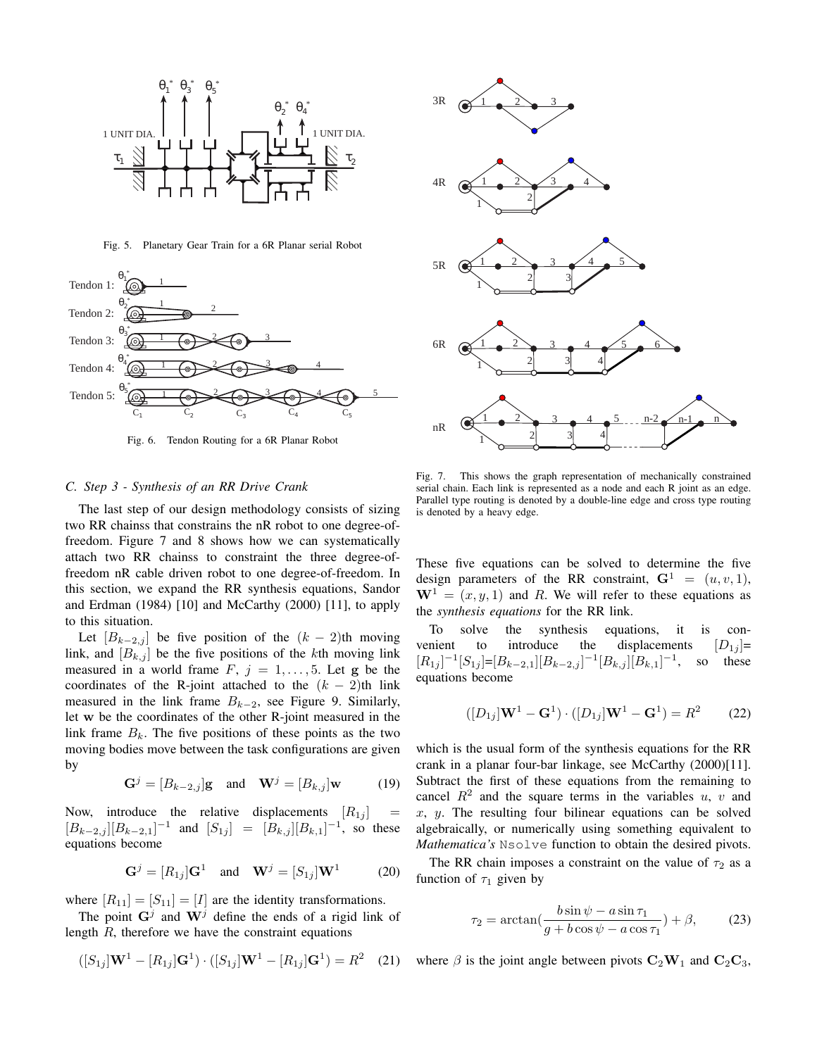

Fig. 5. Planetary Gear Train for a 6R Planar serial Robot



Fig. 6. Tendon Routing for a 6R Planar Robot

## *C. Step 3 - Synthesis of an RR Drive Crank*

The last step of our design methodology consists of sizing two RR chainss that constrains the nR robot to one degree-offreedom. Figure 7 and 8 shows how we can systematically attach two RR chainss to constraint the three degree-offreedom nR cable driven robot to one degree-of-freedom. In this section, we expand the RR synthesis equations, Sandor and Erdman (1984) [10] and McCarthy (2000) [11], to apply to this situation.

Let  $[B_{k-2,j}]$  be five position of the  $(k-2)$ th moving link, and  $[B_{k,j}]$  be the five positions of the kth moving link measured in a world frame  $F, j = 1, \ldots, 5$ . Let g be the coordinates of the R-joint attached to the  $(k - 2)$ th link measured in the link frame  $B_{k-2}$ , see Figure 9. Similarly, let w be the coordinates of the other R-joint measured in the link frame  $B_k$ . The five positions of these points as the two moving bodies move between the task configurations are given by

$$
\mathbf{G}^j = [B_{k-2,j}] \mathbf{g} \quad \text{and} \quad \mathbf{W}^j = [B_{k,j}] \mathbf{w} \tag{19}
$$

Now, introduce the relative displacements  $[R_{1j}]$  $[B_{k-2,j}][B_{k-2,1}]^{-1}$  and  $[S_{1j}] = [B_{k,j}][B_{k,1}]^{-1}$ , so these equations become

$$
\mathbf{G}^j = [R_{1j}]\mathbf{G}^1 \quad \text{and} \quad \mathbf{W}^j = [S_{1j}]\mathbf{W}^1 \tag{20}
$$

where  $[R_{11}] = [S_{11}] = [I]$  are the identity transformations.

The point  $G^j$  and  $W^j$  define the ends of a rigid link of length  $R$ , therefore we have the constraint equations

$$
([S_{1j}]\mathbf{W}^1 - [R_{1j}]\mathbf{G}^1) \cdot ([S_{1j}]\mathbf{W}^1 - [R_{1j}]\mathbf{G}^1) = R^2 \quad (21)
$$



Fig. 7. This shows the graph representation of mechanically constrained serial chain. Each link is represented as a node and each R joint as an edge. Parallel type routing is denoted by a double-line edge and cross type routing is denoted by a heavy edge.

These five equations can be solved to determine the five design parameters of the RR constraint,  $G^1 = (u, v, 1)$ ,  $W^1 = (x, y, 1)$  and R. We will refer to these equations as the *synthesis equations* for the RR link.

To solve the synthesis equations, it is convenient to introduce the displacements  $[D_{1i}]$ =  $[R_{1j}]^{-1}[S_{1j}] = [B_{k-2,1}][B_{k-2,j}]^{-1}[B_{k,j}][B_{k,1}]^{-1}$ , so these equations become

$$
([D_{1j}]\mathbf{W}^1 - \mathbf{G}^1) \cdot ([D_{1j}]\mathbf{W}^1 - \mathbf{G}^1) = R^2 \tag{22}
$$

which is the usual form of the synthesis equations for the RR crank in a planar four-bar linkage, see McCarthy (2000)[11]. Subtract the first of these equations from the remaining to cancel  $R^2$  and the square terms in the variables u, v and  $x, y$ . The resulting four bilinear equations can be solved algebraically, or numerically using something equivalent to *Mathematica's* Nsolve function to obtain the desired pivots.

The RR chain imposes a constraint on the value of  $\tau_2$  as a function of  $\tau_1$  given by

$$
\tau_2 = \arctan(\frac{b\sin\psi - a\sin\tau_1}{g + b\cos\psi - a\cos\tau_1}) + \beta,\qquad(23)
$$

where  $\beta$  is the joint angle between pivots  $C_2W_1$  and  $C_2C_3$ ,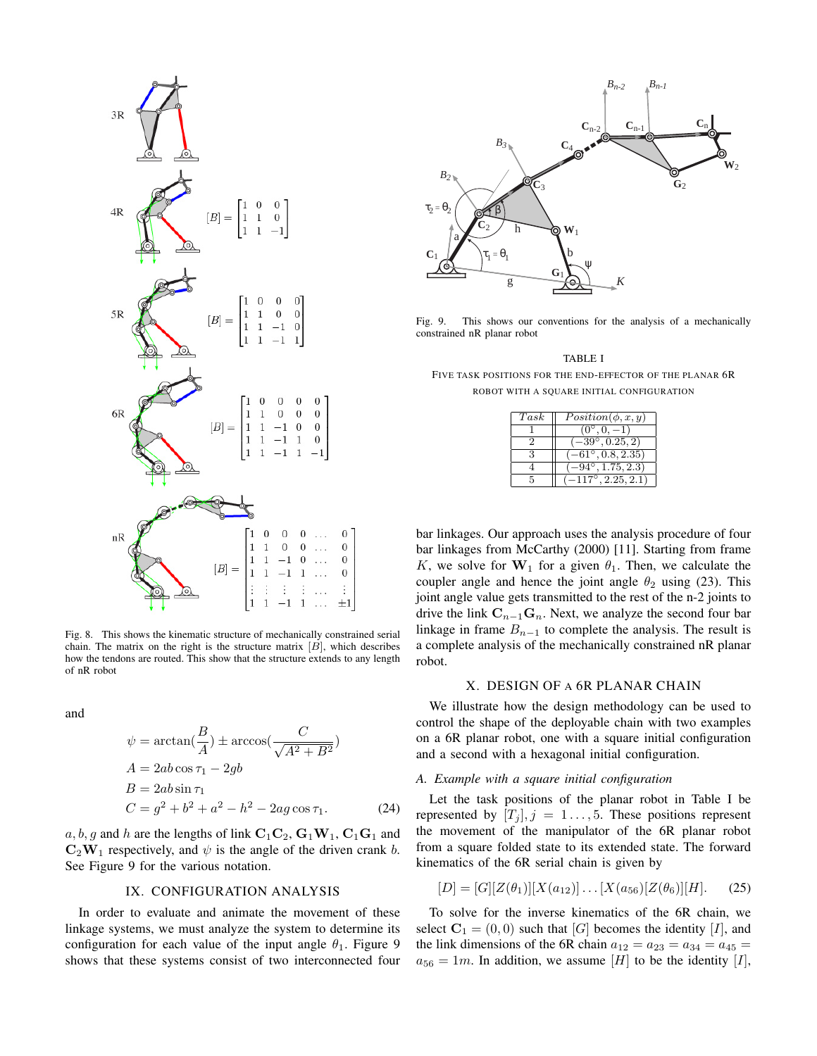

Fig. 8. This shows the kinematic structure of mechanically constrained serial chain. The matrix on the right is the structure matrix  $[B]$ , which describes how the tendons are routed. This show that the structure extends to any length of nR robot

and

$$
\psi = \arctan\left(\frac{B}{A}\right) \pm \arccos\left(\frac{C}{\sqrt{A^2 + B^2}}\right)
$$
  
\n
$$
A = 2ab\cos\tau_1 - 2gb
$$
  
\n
$$
B = 2ab\sin\tau_1
$$
  
\n
$$
C = g^2 + b^2 + a^2 - h^2 - 2ag\cos\tau_1.
$$
 (24)

 $a, b, g$  and h are the lengths of link  $C_1C_2$ ,  $G_1W_1$ ,  $C_1G_1$  and  $C_2W_1$  respectively, and  $\psi$  is the angle of the driven crank b. See Figure 9 for the various notation.

### IX. CONFIGURATION ANALYSIS

In order to evaluate and animate the movement of these linkage systems, we must analyze the system to determine its configuration for each value of the input angle  $\theta_1$ . Figure 9



Fig. 9. This shows our conventions for the analysis of a mechanically constrained nR planar robot

TABLE I FIVE TASK POSITIONS FOR THE END-EFFECTOR OF THE PLANAR 6R ROBOT WITH A SQUARE INITIAL CONFIGURATION

| Task | $Position(\phi, x, y)$              |
|------|-------------------------------------|
|      | $(0^{\circ}, 0, -1)$                |
| 2    | $\overline{(-39^{\circ}, 0.25, 2)}$ |
| 3    | $\overline{-61^{\circ}, 0.8, 2.35}$ |
|      | $-94^{\circ}, 1.75, 2.3)$           |
|      | $(-117^{\circ}, 2.25, 2.1)$         |

bar linkages. Our approach uses the analysis procedure of four bar linkages from McCarthy (2000) [11]. Starting from frame K, we solve for  $W_1$  for a given  $\theta_1$ . Then, we calculate the coupler angle and hence the joint angle  $\theta_2$  using (23). This joint angle value gets transmitted to the rest of the n-2 joints to drive the link  $C_{n-1}G_n$ . Next, we analyze the second four bar linkage in frame  $B_{n-1}$  to complete the analysis. The result is a complete analysis of the mechanically constrained nR planar robot.

#### X. DESIGN OF A 6R PLANAR CHAIN

We illustrate how the design methodology can be used to control the shape of the deployable chain with two examples on a 6R planar robot, one with a square initial configuration and a second with a hexagonal initial configuration.

## *A. Example with a square initial configuration*

Let the task positions of the planar robot in Table I be represented by  $[T_i]$ ,  $j = 1, \ldots, 5$ . These positions represent the movement of the manipulator of the 6R planar robot from a square folded state to its extended state. The forward kinematics of the 6R serial chain is given by

$$
[D] = [G][Z(\theta_1)][X(a_{12})] \dots [X(a_{56})[Z(\theta_6)][H]. \tag{25}
$$

To solve for the inverse kinematics of the 6R chain, we select  $C_1 = (0, 0)$  such that [G] becomes the identity [I], and the link dimensions of the 6R chain  $a_{12} = a_{23} = a_{34} = a_{45} =$  $a_{56} = 1m$ . In addition, we assume [H] to be the identity [I],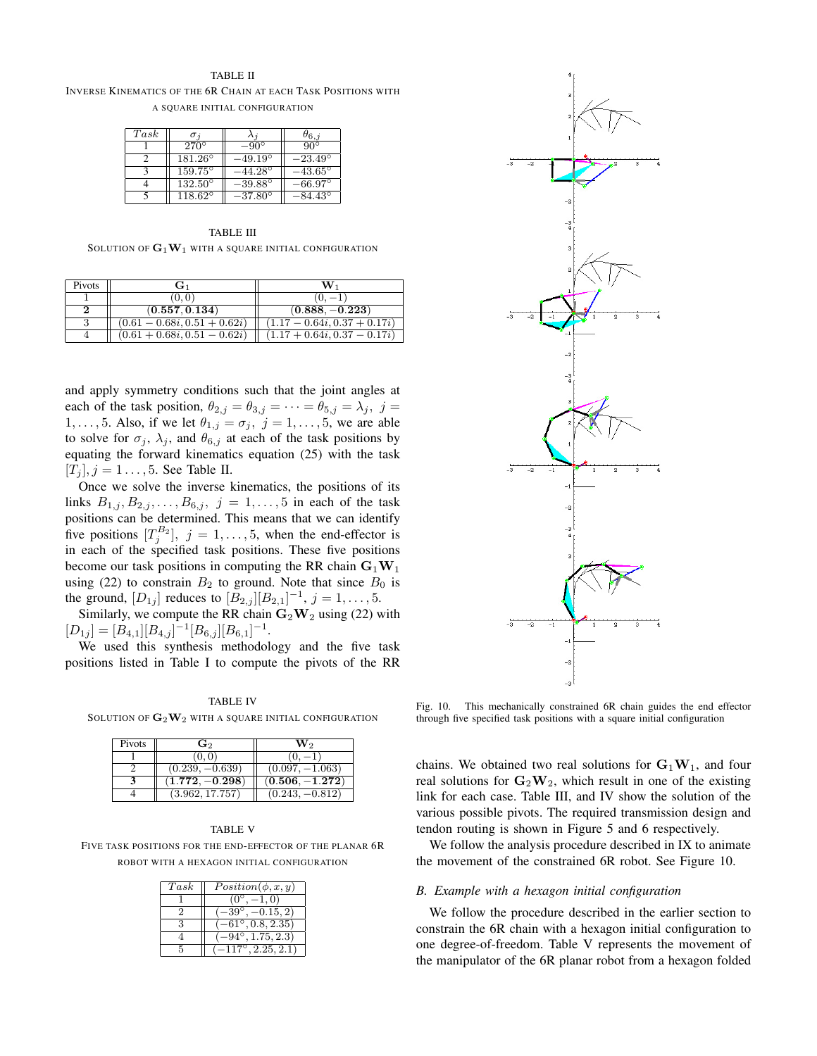#### TABLE II

INVERSE KINEMATICS OF THE 6R CHAIN AT EACH TASK POSITIONS WITH A SQUARE INITIAL CONFIGURATION

| Task |                  |                  | $\sigma_{6,j}$   |
|------|------------------|------------------|------------------|
|      | $270^{\circ}$    | $-90^\circ$      | $90^{\circ}$     |
|      | $181.26^\circ$   | $-49.19^\circ$   | $-23.49^{\circ}$ |
|      | $159.75^\circ$   | $-44.28^{\circ}$ | $-43.65^{\circ}$ |
|      | $132.50^{\circ}$ | $-39.88^\circ$   | $-66.97^\circ$   |
|      | $118.62^\circ$   | $-37.80^\circ$   | $-84.43^{\circ}$ |

TABLE III SOLUTION OF  $G_1W_1$  with a square initial configuration

| Pivots | $G_1$                          | W.                             |
|--------|--------------------------------|--------------------------------|
|        | (0,0)                          | $(0, -1)$                      |
|        | (0.557, 0.134)                 | $(0.888, -0.223)$              |
|        | $(0.61 - 0.68i, 0.51 + 0.62i)$ | $(1.17 - 0.64i, 0.37 + 0.17i)$ |
|        | $(0.61 + 0.68i, 0.51 - 0.62i)$ | $(1.17 + 0.64i, 0.37 - 0.17i)$ |

and apply symmetry conditions such that the joint angles at each of the task position,  $\theta_{2,j} = \theta_{3,j} = \cdots = \theta_{5,j} = \lambda_j$ ,  $j =$ 1, ..., 5. Also, if we let  $\theta_{1,j} = \sigma_j$ ,  $j = 1, \ldots, 5$ , we are able to solve for  $\sigma_j$ ,  $\lambda_j$ , and  $\theta_{6,j}$  at each of the task positions by equating the forward kinematics equation (25) with the task  $[T_i], j = 1 \ldots, 5$ . See Table II.

Once we solve the inverse kinematics, the positions of its links  $B_{1,j}, B_{2,j}, \ldots, B_{6,j}, j = 1, \ldots, 5$  in each of the task positions can be determined. This means that we can identify five positions  $[T_j^{B_2}]$ ,  $j = 1, \ldots, 5$ , when the end-effector is in each of the specified task positions. These five positions become our task positions in computing the RR chain  $G_1W_1$ using (22) to constrain  $B_2$  to ground. Note that since  $B_0$  is the ground,  $[D_{1j}]$  reduces to  $[B_{2,j}][B_{2,1}]^{-1}$ ,  $j = 1, ..., 5$ .

Similarly, we compute the RR chain  $\mathbf{G}_2 \mathbf{W}_2$  using (22) with  $[D_{1j}] = [B_{4,1}][B_{4,j}]^{-1}[B_{6,j}][B_{6,1}]^{-1}.$ 

We used this synthesis methodology and the five task positions listed in Table I to compute the pivots of the RR

SOLUTION OF  $\mathbf{G}_2\mathbf{W}_2$  with a square initial configuration

| Pivots | $\mathbf{G}_2$              | W۰                |
|--------|-----------------------------|-------------------|
|        | (0,0)                       |                   |
|        | $(0.239, -0.639)$           | $(0.097, -1.063)$ |
|        | $\left(1.772,-0.298\right)$ | $(0.506, -1.272)$ |
|        | (3.962, 17.757)             | $(0.243, -0.812)$ |

#### TABLE V

FIVE TASK POSITIONS FOR THE END-EFFECTOR OF THE PLANAR 6R ROBOT WITH A HEXAGON INITIAL CONFIGURATION

| Task | $Position(\phi, x, y)$           |
|------|----------------------------------|
|      | $(0^{\circ})$<br>$-1.0)$         |
|      | $-39^{\circ}$ , $-0.15, 2)$      |
|      | $-61^{\circ}, 0.8, 2.35)$        |
|      | $(-94^{\circ}, 1.75, 2.3)$       |
|      | $-117^\circ$ , $2.25, 2.1^\circ$ |



Fig. 10. This mechanically constrained 6R chain guides the end effector through five specified task positions with a square initial configuration

chains. We obtained two real solutions for  $G_1W_1$ , and four real solutions for  $\mathbf{G}_2 \mathbf{W}_2$ , which result in one of the existing link for each case. Table III, and IV show the solution of the various possible pivots. The required transmission design and tendon routing is shown in Figure 5 and 6 respectively.

We follow the analysis procedure described in IX to animate the movement of the constrained 6R robot. See Figure 10.

#### *B. Example with a hexagon initial configuration*

We follow the procedure described in the earlier section to constrain the 6R chain with a hexagon initial configuration to one degree-of-freedom. Table V represents the movement of the manipulator of the 6R planar robot from a hexagon folded